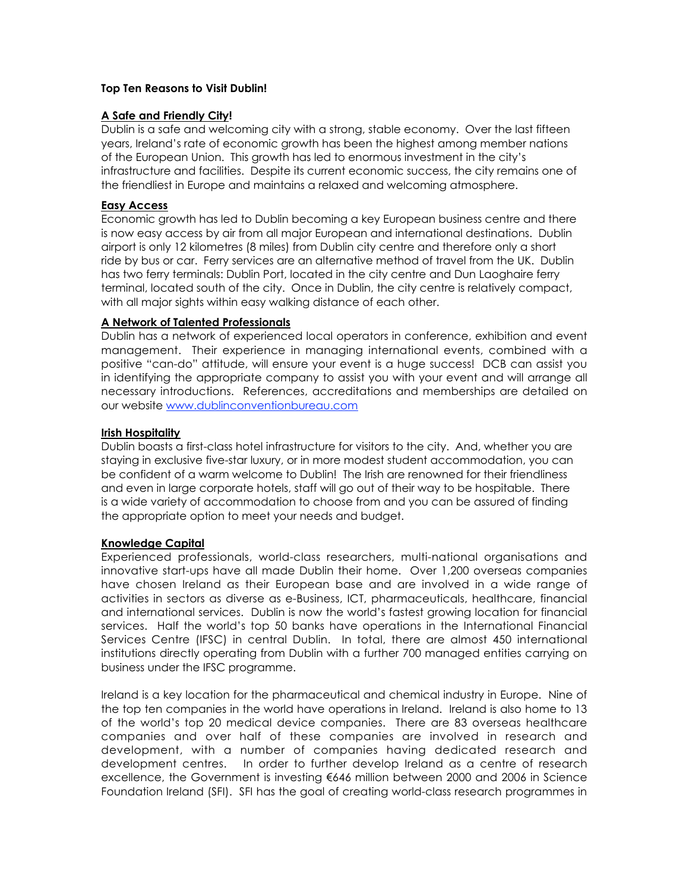### **Top Ten Reasons to Visit Dublin!**

### **A Safe and Friendly City!**

Dublin is a safe and welcoming city with a strong, stable economy. Over the last fifteen years, Ireland's rate of economic growth has been the highest among member nations of the European Union. This growth has led to enormous investment in the city's infrastructure and facilities. Despite its current economic success, the city remains one of the friendliest in Europe and maintains a relaxed and welcoming atmosphere.

#### **Easy Access**

Economic growth has led to Dublin becoming a key European business centre and there is now easy access by air from all major European and international destinations. Dublin airport is only 12 kilometres (8 miles) from Dublin city centre and therefore only a short ride by bus or car. Ferry services are an alternative method of travel from the UK. Dublin has two ferry terminals: Dublin Port, located in the city centre and Dun Laoghaire ferry terminal, located south of the city. Once in Dublin, the city centre is relatively compact, with all major sights within easy walking distance of each other.

#### **A Network of Talented Professionals**

Dublin has a network of experienced local operators in conference, exhibition and event management. Their experience in managing international events, combined with a positive "can-do" attitude, will ensure your event is a huge success! DCB can assist you in identifying the appropriate company to assist you with your event and will arrange all necessary introductions. References, accreditations and memberships are detailed on our website www.dublinconventionbureau.com

#### **Irish Hospitality**

Dublin boasts a first-class hotel infrastructure for visitors to the city. And, whether you are staying in exclusive five-star luxury, or in more modest student accommodation, you can be confident of a warm welcome to Dublin! The Irish are renowned for their friendliness and even in large corporate hotels, staff will go out of their way to be hospitable. There is a wide variety of accommodation to choose from and you can be assured of finding the appropriate option to meet your needs and budget.

#### **Knowledge Capital**

Experienced professionals, world-class researchers, multi-national organisations and innovative start-ups have all made Dublin their home. Over 1,200 overseas companies have chosen Ireland as their European base and are involved in a wide range of activities in sectors as diverse as e-Business, ICT, pharmaceuticals, healthcare, financial and international services. Dublin is now the world's fastest growing location for financial services. Half the world's top 50 banks have operations in the International Financial Services Centre (IFSC) in central Dublin. In total, there are almost 450 international institutions directly operating from Dublin with a further 700 managed entities carrying on business under the IFSC programme.

Ireland is a key location for the pharmaceutical and chemical industry in Europe. Nine of the top ten companies in the world have operations in Ireland. Ireland is also home to 13 of the world's top 20 medical device companies. There are 83 overseas healthcare companies and over half of these companies are involved in research and development, with a number of companies having dedicated research and development centres. In order to further develop Ireland as a centre of research excellence, the Government is investing €646 million between 2000 and 2006 in Science Foundation Ireland (SFI). SFI has the goal of creating world-class research programmes in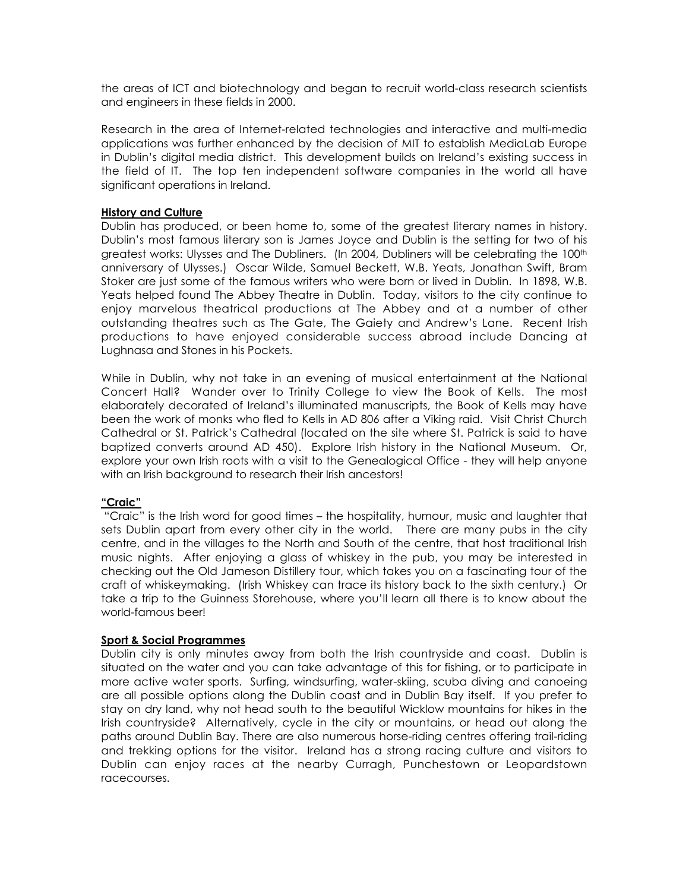the areas of ICT and biotechnology and began to recruit world-class research scientists and engineers in these fields in 2000.

Research in the area of Internet-related technologies and interactive and multi-media applications was further enhanced by the decision of MIT to establish MediaLab Europe in Dublin's digital media district. This development builds on Ireland's existing success in the field of IT. The top ten independent software companies in the world all have significant operations in Ireland.

#### **History and Culture**

Dublin has produced, or been home to, some of the greatest literary names in history. Dublin's most famous literary son is James Joyce and Dublin is the setting for two of his greatest works: Ulysses and The Dubliners. (In 2004, Dubliners will be celebrating the 100<sup>th</sup> anniversary of Ulysses.) Oscar Wilde, Samuel Beckett, W.B. Yeats, Jonathan Swift, Bram Stoker are just some of the famous writers who were born or lived in Dublin. In 1898, W.B. Yeats helped found The Abbey Theatre in Dublin. Today, visitors to the city continue to enjoy marvelous theatrical productions at The Abbey and at a number of other outstanding theatres such as The Gate, The Gaiety and Andrew's Lane. Recent Irish productions to have enjoyed considerable success abroad include Dancing at Lughnasa and Stones in his Pockets.

While in Dublin, why not take in an evening of musical entertainment at the National Concert Hall? Wander over to Trinity College to view the Book of Kells. The most elaborately decorated of Ireland's illuminated manuscripts, the Book of Kells may have been the work of monks who fled to Kells in AD 806 after a Viking raid. Visit Christ Church Cathedral or St. Patrick's Cathedral (located on the site where St. Patrick is said to have baptized converts around AD 450). Explore Irish history in the National Museum. Or, explore your own Irish roots with a visit to the Genealogical Office - they will help anyone with an Irish background to research their Irish ancestors!

## **"Craic"**

"Craic" is the Irish word for good times - the hospitality, humour, music and laughter that sets Dublin apart from every other city in the world. There are many pubs in the city centre, and in the villages to the North and South of the centre, that host traditional Irish music nights. After enjoying a glass of whiskey in the pub, you may be interested in checking out the Old Jameson Distillery tour, which takes you on a fascinating tour of the craft of whiskeymaking. (Irish Whiskey can trace its history back to the sixth century.) Or take a trip to the Guinness Storehouse, where you'll learn all there is to know about the world-famous beer!

## **Sport & Social Programmes**

Dublin city is only minutes away from both the Irish countryside and coast. Dublin is situated on the water and you can take advantage of this for fishing, or to participate in more active water sports. Surfing, windsurfing, water-skiing, scuba diving and canoeing are all possible options along the Dublin coast and in Dublin Bay itself. If you prefer to stay on dry land, why not head south to the beautiful Wicklow mountains for hikes in the Irish countryside? Alternatively, cycle in the city or mountains, or head out along the paths around Dublin Bay. There are also numerous horse-riding centres offering trail-riding and trekking options for the visitor. Ireland has a strong racing culture and visitors to Dublin can enjoy races at the nearby Curragh, Punchestown or Leopardstown racecourses.